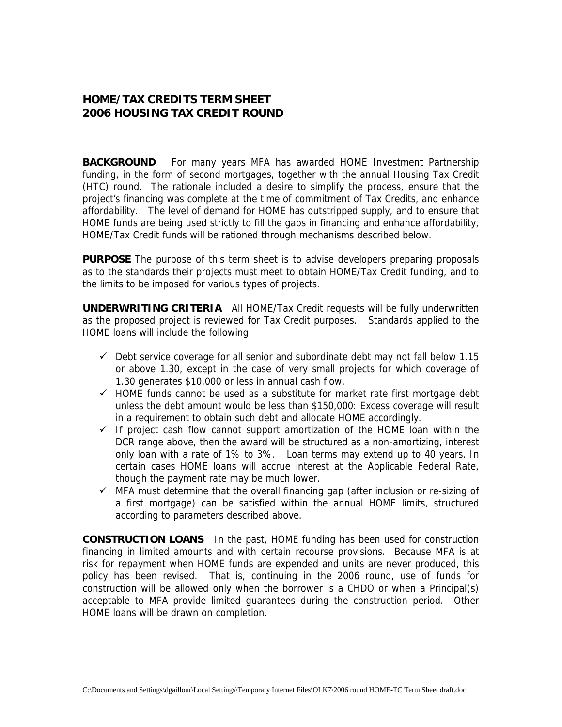## **HOME/TAX CREDITS TERM SHEET 2006 HOUSING TAX CREDIT ROUND**

**BACKGROUND** For many years MFA has awarded HOME Investment Partnership funding, in the form of second mortgages, together with the annual Housing Tax Credit (HTC) round. The rationale included a desire to simplify the process, ensure that the project's financing was complete at the time of commitment of Tax Credits, and enhance affordability. The level of demand for HOME has outstripped supply, and to ensure that HOME funds are being used strictly to fill the gaps in financing and enhance affordability, HOME/Tax Credit funds will be rationed through mechanisms described below.

**PURPOSE** The purpose of this term sheet is to advise developers preparing proposals as to the standards their projects must meet to obtain HOME/Tax Credit funding, and to the limits to be imposed for various types of projects.

**UNDERWRITING CRITERIA** All HOME/Tax Credit requests will be fully underwritten as the proposed project is reviewed for Tax Credit purposes. Standards applied to the HOME loans will include the following:

- $\checkmark$  Debt service coverage for all senior and subordinate debt may not fall below 1.15 or above 1.30, except in the case of very small projects for which coverage of 1.30 generates \$10,000 or less in annual cash flow.
- $\checkmark$  HOME funds cannot be used as a substitute for market rate first mortgage debt unless the debt amount would be less than \$150,000: Excess coverage will result in a requirement to obtain such debt and allocate HOME accordingly.
- $\checkmark$  If project cash flow cannot support amortization of the HOME loan within the DCR range above, then the award will be structured as a non-amortizing, interest only loan with a rate of 1% to 3%. Loan terms may extend up to 40 years. In certain cases HOME loans will accrue interest at the Applicable Federal Rate, though the payment rate may be much lower.
- $\checkmark$  MFA must determine that the overall financing gap (after inclusion or re-sizing of a first mortgage) can be satisfied within the annual HOME limits, structured according to parameters described above.

**CONSTRUCTION LOANS** In the past, HOME funding has been used for construction financing in limited amounts and with certain recourse provisions. Because MFA is at risk for repayment when HOME funds are expended and units are never produced, this policy has been revised. That is, continuing in the 2006 round, use of funds for construction will be allowed only when the borrower is a CHDO or when a Principal(s) acceptable to MFA provide limited guarantees during the construction period. Other HOME loans will be drawn on completion.